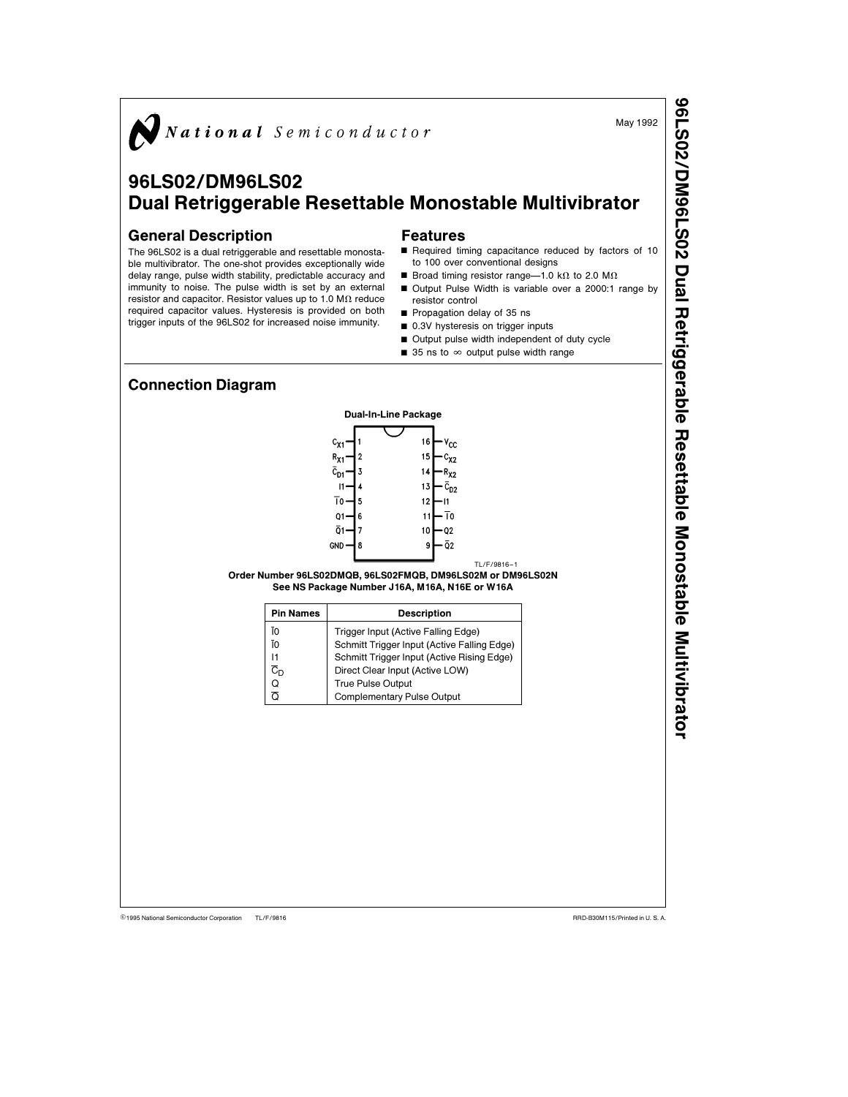

# 96LS02/DM96LS02 Dual Retriggerable Resettable Monostable Multivibrator

### General Description

The 96LS02 is a dual retriggerable and resettable monostable multivibrator. The one-shot provides exceptionally wide delay range, pulse width stability, predictable accuracy and immunity to noise. The pulse width is set by an external resistor and capacitor. Resistor values up to 1.0 M $\Omega$  reduce required capacitor values. Hysteresis is provided on both trigger inputs of the 96LS02 for increased noise immunity.

# Features

- $\blacksquare$  Required timing capacitance reduced by factors of 10 to 100 over conventional designs
- Broad timing resistor range—1.0 k $\Omega$  to 2.0 M $\Omega$
- Output Pulse Width is variable over a 2000:1 range by resistor control
- $\blacksquare$  Propagation delay of 35 ns
- $\Box$  0.3V hysteresis on trigger inputs
- Output pulse width independent of duty cycle

TL/F/9816 –1

 $\blacksquare$  35 ns to  $\infty$  output pulse width range

### Connection Diagram



#### Order Number 96LS02DMQB, 96LS02FMQB, DM96LS02M or DM96LS02N See NS Package Number J16A, M16A, N16E or W16A

| <b>Pin Names</b> | <b>Description</b>                          |  |  |  |  |
|------------------|---------------------------------------------|--|--|--|--|
| ١O               | Trigger Input (Active Falling Edge)         |  |  |  |  |
| 10               | Schmitt Trigger Input (Active Falling Edge) |  |  |  |  |
|                  | Schmitt Trigger Input (Active Rising Edge)  |  |  |  |  |
| Շ <sub>n</sub>   | Direct Clear Input (Active LOW)             |  |  |  |  |
|                  | <b>True Pulse Output</b>                    |  |  |  |  |
|                  | <b>Complementary Pulse Output</b>           |  |  |  |  |

C1995 National Semiconductor Corporation TL/F/9816 **Career Corporation Corporation RRD-B30M115/Printed in U. S. A.** 

96LS02/DM96LS02 Dual RetriggerableResettableMonostableMultivibrator

May 1992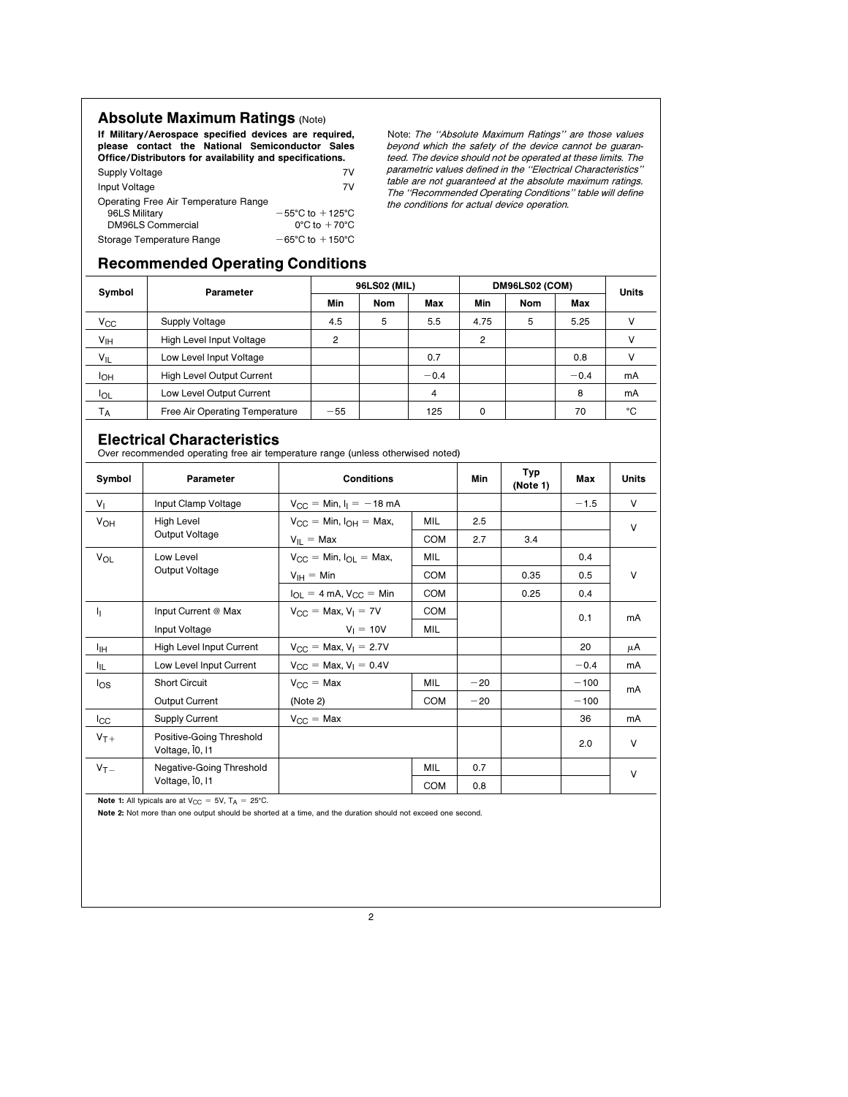# Absolute Maximum Ratings (Note)

If Military/Aerospace specified devices are required, please contact the National Semiconductor Sales Office/Distributors for availability and specifications.

| Supply Voltage                       | 7V                                  |
|--------------------------------------|-------------------------------------|
| Input Voltage                        | 7V                                  |
| Operating Free Air Temperature Range |                                     |
| 96LS Military                        | $-55^{\circ}$ C to $+125^{\circ}$ C |
| <b>DM96LS Commercial</b>             | $0^{\circ}$ C to $+70^{\circ}$ C    |
| Storage Temperature Range            | $-65^{\circ}$ C to $+150^{\circ}$ C |

Note: The ''Absolute Maximum Ratings'' are those values beyond which the safety of the device cannot be guaranteed. The device should not be operated at these limits. The parametric values defined in the ''Electrical Characteristics'' table are not guaranteed at the absolute maximum ratings. The ''Recommended Operating Conditions'' table will define the conditions for actual device operation.

# Recommended Operating Conditions

| Symbol          | Parameter                        | 96LS02 (MIL) |            |        | <b>DM96LS02 (COM)</b> |            |        | <b>Units</b> |  |
|-----------------|----------------------------------|--------------|------------|--------|-----------------------|------------|--------|--------------|--|
|                 |                                  | Min          | <b>Nom</b> | Max    | Min                   | <b>Nom</b> | Max    |              |  |
| $V_{CC}$        | Supply Voltage                   | 4.5          | 5          | 5.5    | 4.75                  | 5          | 5.25   |              |  |
| V <sub>IH</sub> | High Level Input Voltage         |              |            |        | 2                     |            |        | V            |  |
| $V_{IL}$        | Low Level Input Voltage          |              |            | 0.7    |                       |            | 0.8    |              |  |
| <b>I</b> OH     | <b>High Level Output Current</b> |              |            | $-0.4$ |                       |            | $-0.4$ | mA           |  |
| $I_{OL}$        | Low Level Output Current         |              |            | 4      |                       |            | 8      | mA           |  |
| Т <sub>А</sub>  | Free Air Operating Temperature   | $-55$        |            | 125    | 0                     |            | 70     | °C           |  |

# Electrical Characteristics

Over recommended operating free air temperature range (unless otherwised noted)

| Symbol                | Parameter                                   | <b>Conditions</b>                            |            | Min   | Typ<br>(Note 1) | Max    | <b>Units</b> |
|-----------------------|---------------------------------------------|----------------------------------------------|------------|-------|-----------------|--------|--------------|
| $V_{\parallel}$       | Input Clamp Voltage                         | $V_{CC} =$ Min, $I_1 = -18$ mA               |            |       |                 | $-1.5$ | $\vee$       |
| V <sub>OH</sub>       | <b>High Level</b>                           | $V_{CC}$ = Min, $I_{OH}$ = Max,              | <b>MIL</b> | 2.5   |                 |        | $\vee$       |
|                       | Output Voltage                              | $V_{IL}$ = Max                               | COM        | 2.7   | 3.4             |        |              |
| <b>V<sub>OL</sub></b> | Low Level                                   | $V_{CC} = Min$ , $I_{CI} = Max$ ,            | MIL        |       |                 | 0.4    |              |
|                       | Output Voltage                              | $V_{\text{IH}} = \text{Min}$                 | <b>COM</b> |       | 0.35            | 0.5    | V            |
|                       |                                             | $I_{OL}$ = 4 mA, $V_{CC}$ = Min              | <b>COM</b> |       | 0.25            | 0.4    |              |
| J <sub>I</sub>        | Input Current @ Max                         | $V_{CC}$ = Max, $V_1$ = 7V                   | <b>COM</b> |       |                 | 0.1    | mA           |
|                       | Input Voltage                               | $V_1 = 10V$                                  | <b>MIL</b> |       |                 |        |              |
| ŀщ                    | High Level Input Current                    | $V_{\rm CC}$ = Max, $V_{\rm I}$ = 2.7V       |            |       |                 | 20     | μA           |
| ŀμ.                   | Low Level Input Current                     | $V_{\text{CC}}$ = Max, $V_{\text{I}}$ = 0.4V |            |       |                 | $-0.4$ | mA           |
| los                   | <b>Short Circuit</b>                        | $V_{\text{CC}}$ = Max                        | <b>MIL</b> | $-20$ |                 | $-100$ | mA           |
|                       | Output Current                              | (Note 2)                                     | <b>COM</b> | $-20$ |                 | $-100$ |              |
| $I_{\rm CC}$          | <b>Supply Current</b>                       | $V_{\rm CC}$ = Max                           |            |       |                 | 36     | mA           |
| $V_{T+}$              | Positive-Going Threshold<br>Voltage, IO, I1 |                                              |            |       |                 | 2.0    | $\vee$       |
| $V_T -$               | Negative-Going Threshold                    |                                              | <b>MIL</b> | 0.7   |                 |        | V            |
|                       | Voltage, IO, I1                             |                                              | <b>COM</b> | 0.8   |                 |        |              |

Note 1: All typicals are at  $V_{CC} = 5V$ ,  $T_A = 25^{\circ}$ C.

Note 2: Not more than one output should be shorted at a time, and the duration should not exceed one second.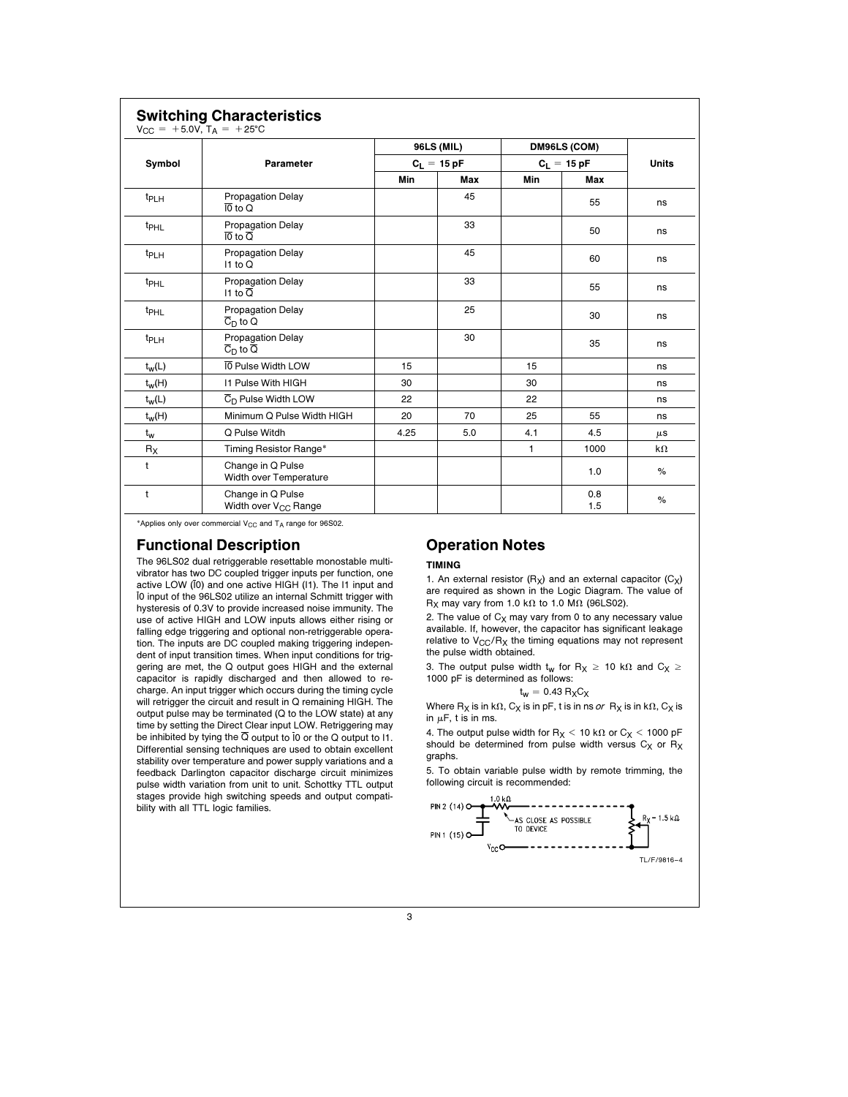|                  |                                                                |            | 96LS (MIL)    | DM96LS (COM)  |            |               |
|------------------|----------------------------------------------------------------|------------|---------------|---------------|------------|---------------|
| Symbol           | Parameter                                                      |            | $C_1 = 15 pF$ | $C_1 = 15 pF$ |            | <b>Units</b>  |
|                  |                                                                | <b>Min</b> | Max           | Min           | Max        |               |
| t <sub>PLH</sub> | <b>Propagation Delay</b><br>$\overline{10}$ to $\overline{O}$  |            | 45            |               | 55         | ns            |
| t <sub>PHL</sub> | <b>Propagation Delay</b><br>$\overline{10}$ to $\overline{Q}$  |            | 33            |               | 50         | ns            |
| t <sub>PLH</sub> | <b>Propagation Delay</b><br>$11$ to Q                          |            | 45            |               | 60         | ns            |
| t <sub>PHL</sub> | <b>Propagation Delay</b><br>If to $\overline{Q}$               |            | 33            |               | 55         | ns            |
| t <sub>PHL</sub> | <b>Propagation Delay</b><br>$\overline{C}_D$ to Q              |            | 25            |               | 30         | ns            |
| $t_{PLH}$        | <b>Propagation Delay</b><br>$\overline{C}_D$ to $\overline{Q}$ |            | 30            |               | 35         | ns            |
| $t_w(L)$         | 10 Pulse Width LOW                                             | 15         |               | 15            |            | ns            |
| $t_w(H)$         | <b>11 Pulse With HIGH</b>                                      | 30         |               | 30            |            | ns            |
| $t_w(L)$         | $\overline{C}_D$ Pulse Width LOW                               | 22         |               | 22            |            | ns            |
| $t_w(H)$         | Minimum Q Pulse Width HIGH                                     | 20         | 70            | 25            | 55         | ns            |
| $t_{w}$          | Q Pulse Witdh                                                  | 4.25       | 5.0           | 4.1           | 4.5        | $\mu$ S       |
| $R_X$            | Timing Resistor Range*                                         |            |               | $\mathbf{1}$  | 1000       | $k\Omega$     |
| t                | Change in Q Pulse<br>Width over Temperature                    |            |               |               | 1.0        | $\frac{1}{2}$ |
| t                | Change in Q Pulse<br>Width over V <sub>CC</sub> Range          |            |               |               | 0.8<br>1.5 | $\%$          |

\*Applies only over commercial  $V_{CC}$  and  $T_A$  range for 96S02.

#### Functional Description

The 96LS02 dual retriggerable resettable monostable multivibrator has two DC coupled trigger inputs per function, one active LOW (I0) and one active HIGH (I1). The I1 input and I0 input of the 96LS02 utilize an internal Schmitt trigger with hysteresis of 0.3V to provide increased noise immunity. The use of active HIGH and LOW inputs allows either rising or falling edge triggering and optional non-retriggerable operation. The inputs are DC coupled making triggering independent of input transition times. When input conditions for triggering are met, the Q output goes HIGH and the external capacitor is rapidly discharged and then allowed to recharge. An input trigger which occurs during the timing cycle will retrigger the circuit and result in Q remaining HIGH. The output pulse may be terminated (Q to the LOW state) at any time by setting the Direct Clear input LOW. Retriggering may be inhibited by tying the  $\overline{Q}$  output to  $\overline{I0}$  or the Q output to  $I1$ . Differential sensing techniques are used to obtain excellent stability over temperature and power supply variations and a feedback Darlington capacitor discharge circuit minimizes pulse width variation from unit to unit. Schottky TTL output stages provide high switching speeds and output compatibility with all TTL logic families.

# Operation Notes

### **TIMING**

1. An external resistor  $(R_X)$  and an external capacitor  $(C_X)$ are required as shown in the Logic Diagram. The value of  $R_X$  may vary from 1.0 k $\Omega$  to 1.0 M $\Omega$  (96LS02).

2. The value of  $C_X$  may vary from 0 to any necessary value available. If, however, the capacitor has significant leakage relative to  $V_{CC}/R_X$  the timing equations may not represent the pulse width obtained.

3. The output pulse width  $t_w$  for  $R_X \ge 10$  k $\Omega$  and  $C_X \ge$ 1000 pF is determined as follows:

$$
t_{\text{w}} = 0.43\,R_{\text{X}}C_{\text{X}}
$$

Where  $R_X$  is in k $\Omega$ ,  $C_X$  is in pF, t is in ns or  $R_X$  is in k $\Omega$ ,  $C_X$  is in  $\mu$ F, t is in ms.

4. The output pulse width for  $R_X < 10$  k $\Omega$  or  $C_X < 1000$  pF should be determined from pulse width versus  $C_X$  or  $R_X$ graphs.

5. To obtain variable pulse width by remote trimming, the following circuit is recommended:

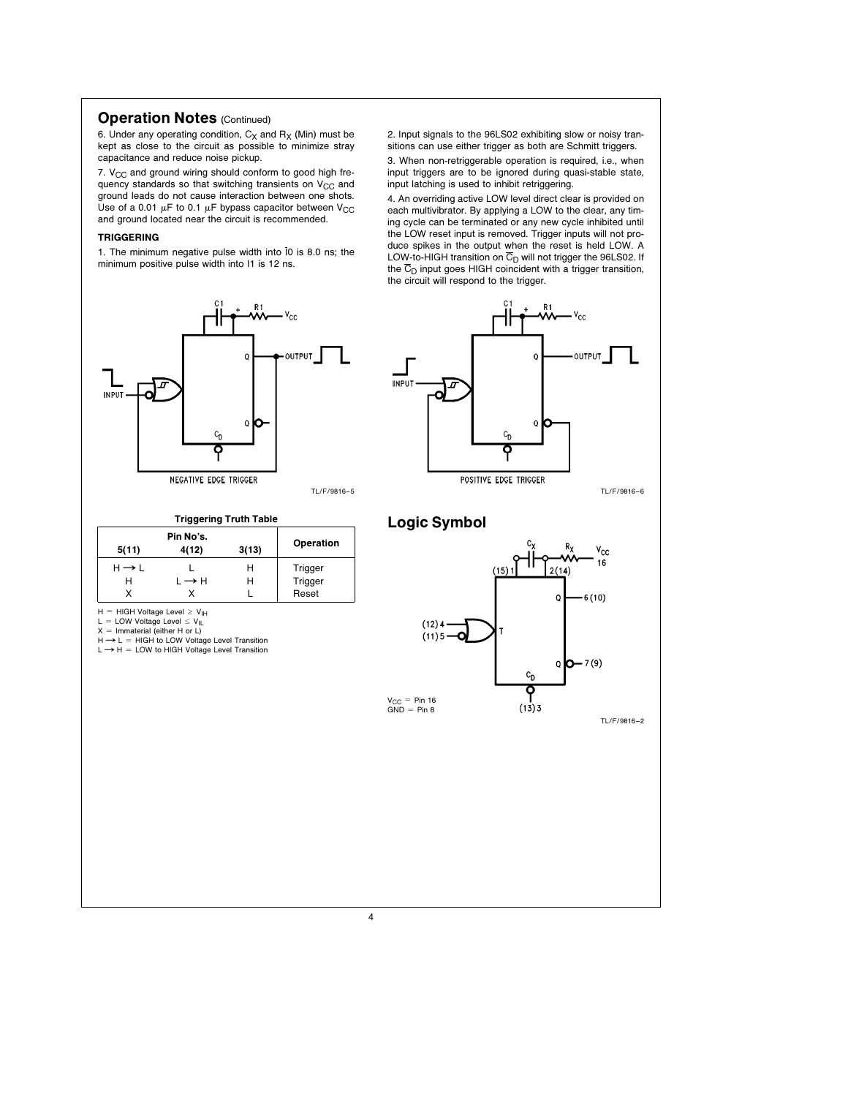## **Operation Notes (Continued)**

6. Under any operating condition,  $C_X$  and  $R_X$  (Min) must be kept as close to the circuit as possible to minimize stray capacitance and reduce noise pickup.

7.  $V_{CC}$  and ground wiring should conform to good high frequency standards so that switching transients on  $V_{CC}$  and ground leads do not cause interaction between one shots. Use of a 0.01  $\mu$ F to 0.1  $\mu$ F bypass capacitor between V<sub>CC</sub> and ground located near the circuit is recommended.

#### TRIGGERING

1. The minimum negative pulse width into I0 is 8.0 ns; the minimum positive pulse width into I1 is 12 ns.



2. Input signals to the 96LS02 exhibiting slow or noisy transitions can use either trigger as both are Schmitt triggers.

3. When non-retriggerable operation is required, i.e., when input triggers are to be ignored during quasi-stable state, input latching is used to inhibit retriggering.

4. An overriding active LOW level direct clear is provided on each multivibrator. By applying a LOW to the clear, any timing cycle can be terminated or any new cycle inhibited until the LOW reset input is removed. Trigger inputs will not produce spikes in the output when the reset is held LOW. A LOW-to-HIGH transition on  $\overline{C}_{D}$  will not trigger the 96LS02. If the  $\overline{C}_{D}$  input goes HIGH coincident with a trigger transition, the circuit will respond to the trigger.



#### Triggering Truth Table

|                   | <b>Operation</b> |       |         |
|-------------------|------------------|-------|---------|
| 5(11)             | 4(12)            | 3(13) |         |
| $H \rightarrow L$ |                  | н     | Trigger |
| н                 | ∣ → H            | н     | Trigger |
|                   |                  |       | Reset   |

 $H = HIGH$  Voltage Level  $\geq V_{IH}$ 

 $L =$  LOW Voltage Level  $\leq V_{IL}$ 

X = Immaterial (either H or L)<br>H → L = HIGH to LOW Voltage Level Transition

 $L \rightarrow H = LOW$  to HIGH Voltage Level Transition



TL/F/9816 –2

۷сс

 $\cdot 6(10)$ 

 $-7(9)$ o. Q

C

Logic Symbol

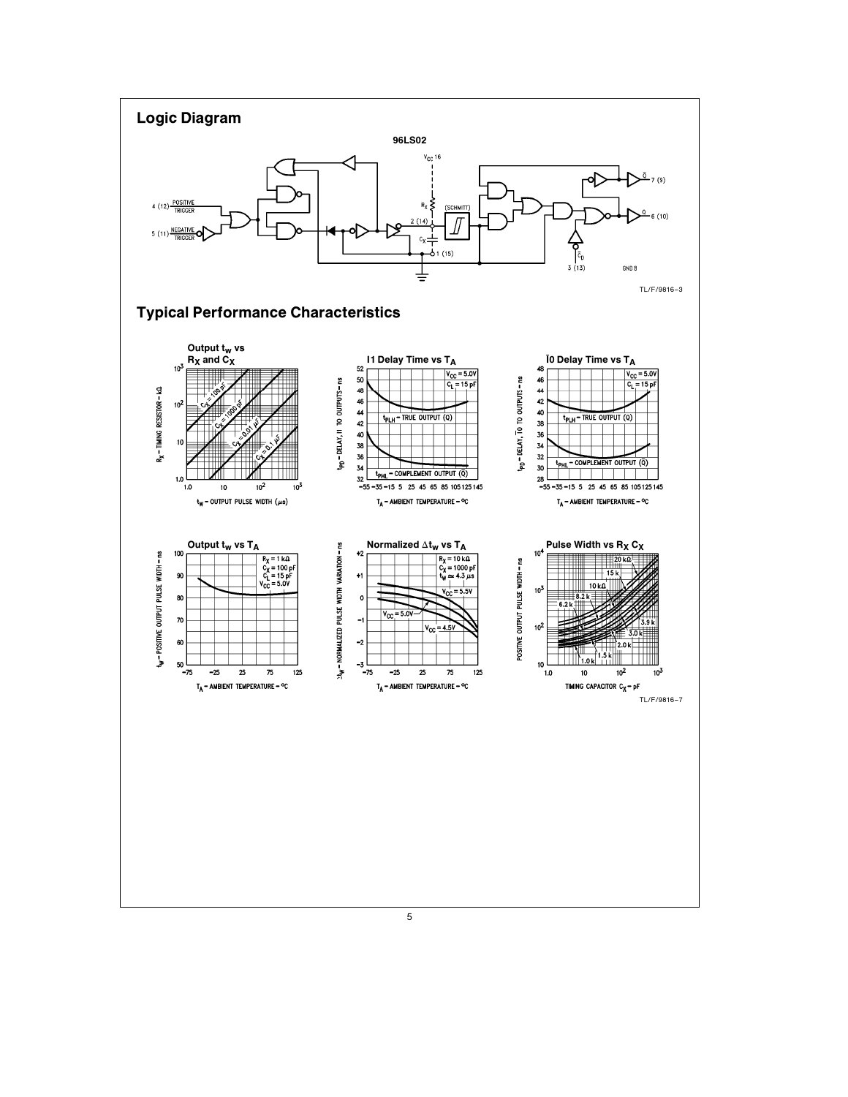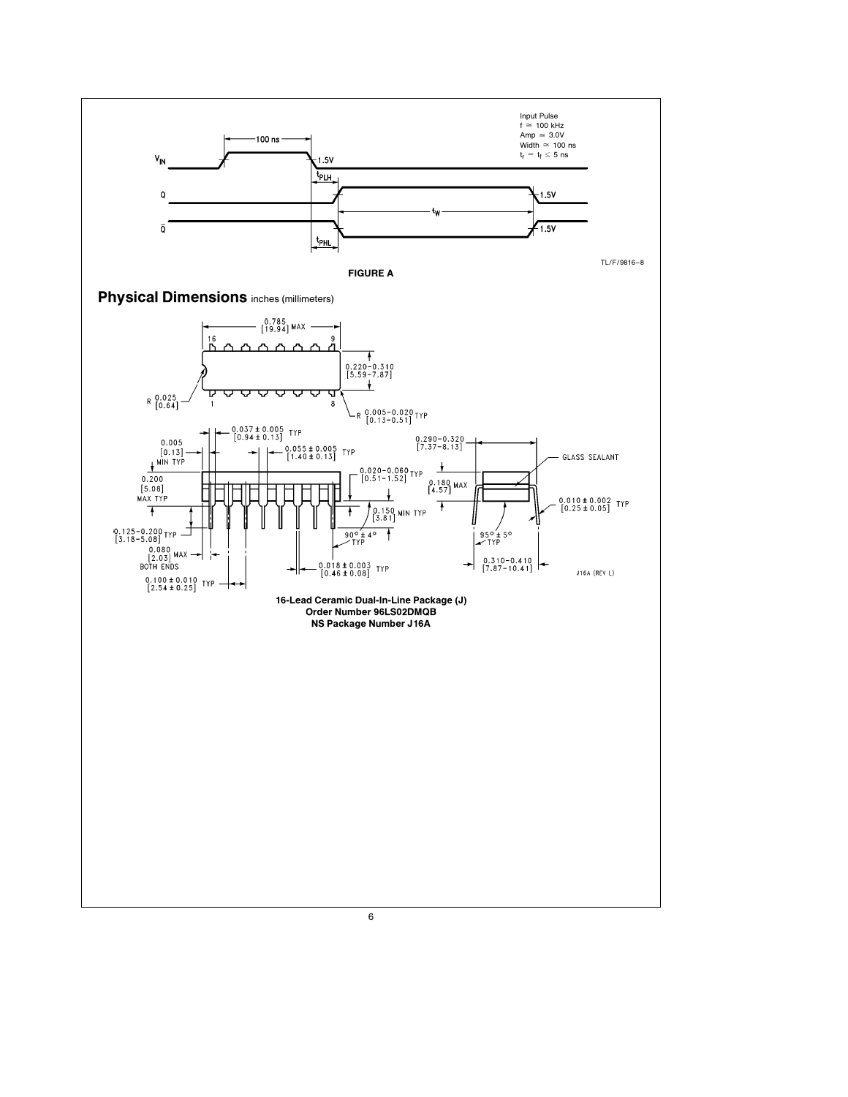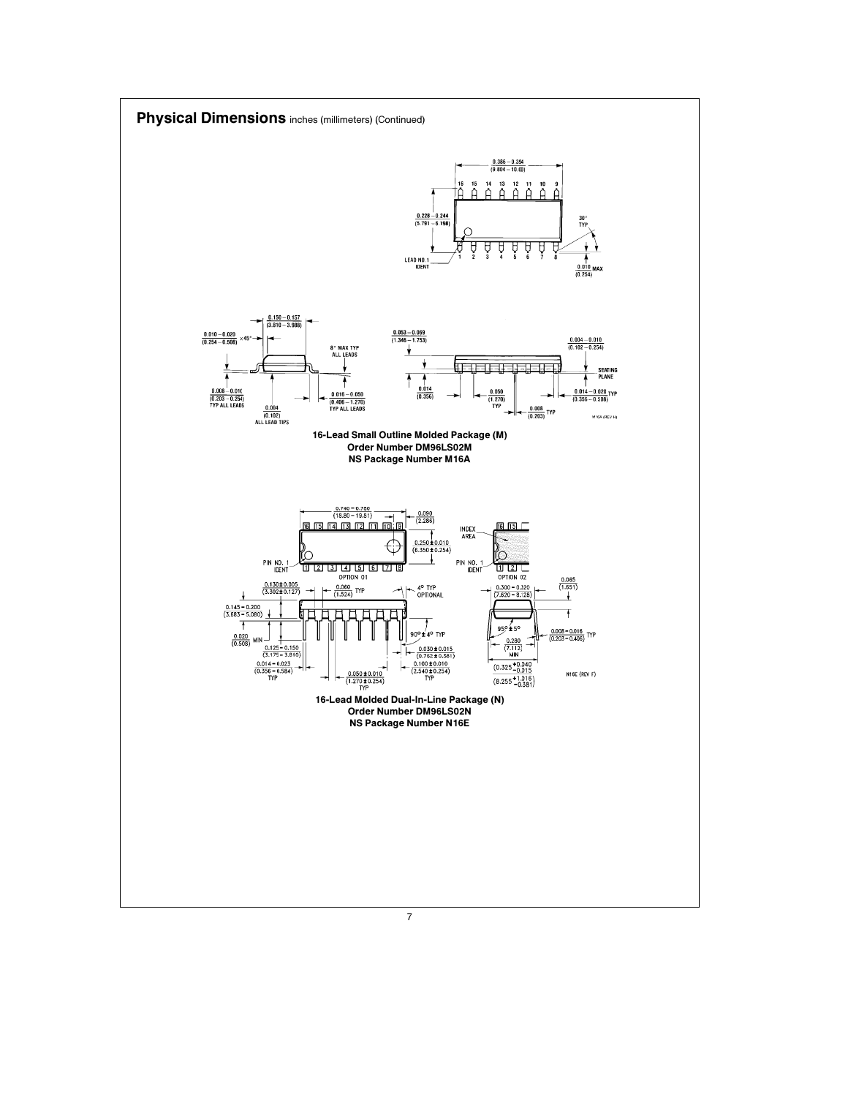